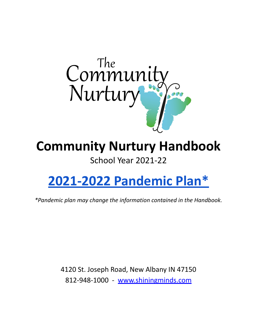

# **Community Nurtury Handbook**

## School Year 2021-22

# **[2021-2022](https://docs.google.com/document/d/1a-XmtasER29xSORV9u7TTxgm0LV7_epPJDmFLRXtd_8/edit?usp=sharing) Pandemic Plan\***

*\*Pandemic plan may change the information contained in the Handbook.*

4120 St. Joseph Road, New Albany IN 47150 812-948-1000 - [www.shiningminds.com](http://www.shiningminds.com)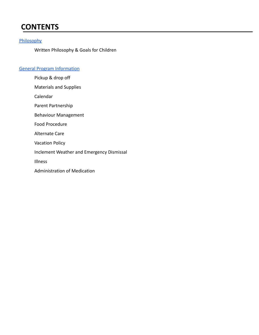## **CONTENTS**

#### **[Philosophy](#page-2-0)**

Written Philosophy & Goals for Children

#### [General Program Information](#page-2-1)

Pickup & drop off Materials and Supplies Calendar Parent Partnership Behaviour Management Food Procedure Alternate Care Vacation Policy Inclement Weather and Emergency Dismissal Illness Administration of Medication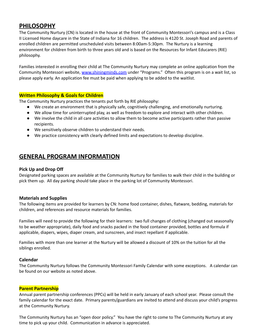### <span id="page-2-0"></span>**PHILOSOPHY**

The Community Nurtury (CN) is located in the house at the front of Community Montessori's campus and is a Class II Licensed Home daycare in the State of Indiana for 16 children. The address is 4120 St. Joseph Road and parents of enrolled children are permitted unscheduled visits between 8:00am-5:30pm. The Nurtury is a learning environment for children from birth to three years old and is based on the Resources for Infant Educarers (RIE) philosophy.

Families interested in enrolling their child at The Community Nurtury may complete an online application from the Community Montessori website, [www.shiningminds.com](http://www.shiningminds.com) under "Programs." Often this program is on a wait list, so please apply early. An application fee must be paid when applying to be added to the waitlist.

#### **Written Philosophy & Goals for Children**

The Community Nurtury practices the tenants put forth by RIE philosophy:

- We create an environment that is physically safe, cognitively challenging, and emotionally nurturing.
- We allow time for uninterrupted play, as well as freedom to explore and interact with other children.
- We involve the child in all care activities to allow them to become active participants rather than passive recipients.
- We sensitively observe children to understand their needs.
- We practice consistency with clearly defined limits and expectations to develop discipline.

### <span id="page-2-1"></span>**GENERAL PROGRAM INFORMATION**

#### **Pick Up and Drop Off**

Designated parking spaces are available at the Community Nurtury for families to walk their child in the building or pick them up. All day parking should take place in the parking lot of Community Montessori.

#### **Materials and Supplies**

The following items are provided for learners by CN: home food container, dishes, flatware, bedding, materials for children, and references and resource materials for families.

Families will need to provide the following for their learners: two full changes of clothing (changed out seasonally to be weather appropriate), daily food and snacks packed in the food container provided, bottles and formula if applicable, diapers, wipes, diaper cream, and sunscreen, and insect repellant if applicable.

Families with more than one learner at the Nurtury will be allowed a discount of 10% on the tuition for all the siblings enrolled.

#### **Calendar**

The Community Nurtury follows the Community Montessori Family Calendar with some exceptions. A calendar can be found on our website as noted above.

#### **Parent Partnership**

Annual parent partnership conferences (PPCs) will be held in early January of each school year. Please consult the family calendar for the exact date. Primary parents/guardians are invited to attend and discuss your child's progress at the Community Nurtury.

The Community Nurtury has an "open door policy." You have the right to come to The Community Nurtury at any time to pick up your child. Communication in advance is appreciated.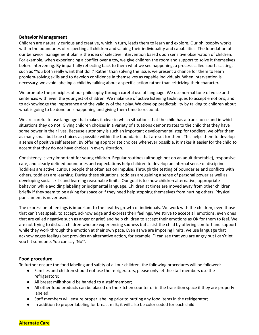#### **Behavior Management**

Children are naturally curious and creative, which in turn, leads them to learn and explore. Our philosophy works within the boundaries of respecting all children and valuing their individuality and capabilities. The foundation of our behavior management plan is the idea of selective intervention based upon sensitive observation of children. For example, when experiencing a conflict over a toy, we give children the room and support to solve it themselves before intervening. By impartially reflecting back to them what we see happening, a process called sports casting, such as "You both really want that doll." Rather than solving the issue, we present a chance for them to learn problem-solving skills and to develop confidence in themselves as capable individuals. When intervention is necessary, we avoid labeling a child by talking about a specific action rather than criticizing their character.

We promote the principles of our philosophy through careful use of language. We use normal tone of voice and sentences with even the youngest of children. We make use of active listening techniques to accept emotions, and to acknowledge the importance and the validity of their play. We develop predictability by talking to children about what is going to be done or is happening and giving them time to respond.

We are careful to use language that makes it clear in which situations that the child has a true choice and in which situations they do not. Giving children choices in a variety of situations demonstrates to the child that they have some power in their lives. Because autonomy is such an important developmental step for toddlers, we offer them as many small but true choices as possible within the boundaries that are set for them. This helps them to develop a sense of positive self esteem. By offering appropriate choices whenever possible, it makes it easier for the child to accept that they do not have choices in every situation.

Consistency is very important for young children. Regular routines (although not on an adult timetable), responsive care, and clearly defined boundaries and expectations help children to develop an internal sense of discipline. Toddlers are active, curious people that often act on impulse. Through the testing of boundaries and conflicts with others, toddlers are learning. During these situations, toddlers are gaining a sense of personal power as well as developing social skills and learning reasonable limits. Our goal is to show children alternative, appropriate behavior, while avoiding labeling or judgmental language. Children at times are moved away from other children briefly if they seem to be asking for space or if they need help stopping themselves from hurting others. Physical punishment is never used.

The expression of feelings is important to the healthy growth of individuals. We work with the children, even those that can't yet speak, to accept, acknowledge and express their feelings. We strive to accept all emotions, even ones that are called negative such as anger or grief, and help children to accept their emotions as OK for them to feel. We are not trying to distract children who are experiencing sadness but assist the child by offering comfort and support while they work through the emotion at their own pace. Even as we are imposing limits, we use language that acknowledges feelings but provides an alternative action, for example, "I can see that you are angry but I can't let you hit someone. You can say 'No'".

#### **Food procedure**

To further ensure the food labeling and safety of all our children, the following procedures will be followed:

- Families and children should not use the refrigerators, please only let the staff members use the refrigerators;
- All breast milk should be handed to a staff member;
- All other food products can be placed on the kitchen counter or in the transition space if they are properly labeled;
- Staff members will ensure proper labeling prior to putting any food items in the refrigerator;
- In addition to proper labeling for breast milk; it will also be color coded for each child.

**Alternate Care**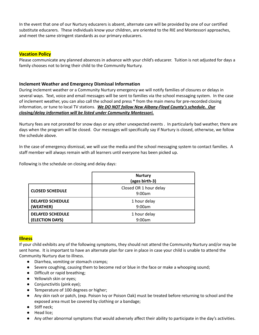In the event that one of our Nurtury educarers is absent, alternate care will be provided by one of our certified substitute educarers. These individuals know your children, are oriented to the RIE and Montessori approaches, and meet the same stringent standards as our primary educarers.

#### **Vacation Policy**

Please communicate any planned absences in advance with your child's educarer. Tuition is not adjusted for days a family chooses not to bring their child to the Community Nurtury.

#### **Inclement Weather and Emergency Dismissal Information**

During inclement weather or a Community Nurtury emergency we will notify families of closures or delays in several ways. Text, voice and email messages will be sent to families via the school messaging system. In the case of inclement weather, you can also call the school and press \* from the main menu for pre-recorded closing information, or tune to local TV stations. *We DO NOT follow New Albany-Floyd County's schedule. Our closing/delay information will be listed under Community Montessori.*

Nurtury fees are not prorated for snow days or any other unexpected events . In particularly bad weather, there are days when the program will be closed. Our messages will specifically say if Nurtury is closed, otherwise, we follow the schedule above.

In the case of emergency dismissal, we will use the media and the school messaging system to contact families. A staff member will always remain with all learners until everyone has been picked up.

Following is the schedule on closing and delay days:

|                         | <b>Nurtury</b><br>(ages birth-3) |
|-------------------------|----------------------------------|
| <b>CLOSED SCHEDULE</b>  | Closed OR 1 hour delay<br>9:00am |
| <b>DELAYED SCHEDULE</b> | 1 hour delay                     |
| (WEATHER)               | 9:00am                           |
| <b>DELAYED SCHEDULE</b> | 1 hour delay                     |
| (ELECTION DAYS)         | 9:00am                           |

#### **Illness**

If your child exhibits any of the following symptoms, they should not attend the Community Nurtury and/or may be sent home. It is important to have an alternate plan for care in place in case your child is unable to attend the Community Nurtury due to illness.

- **●** Diarrhea, vomiting or stomach cramps;
- **●** Severe coughing, causing them to become red or blue in the face or make a whooping sound;
- **●** Difficult or rapid breathing;
- **●** Yellowish skin or eyes;
- **●** Conjunctivitis (pink eye);
- **●** Temperature of 100 degrees or higher;
- **●** Any skin rash or patch, (exp. Poison Ivy or Poison Oak) must be treated before returning to school and the exposed area must be covered by clothing or a bandage;
- **●** Stiff neck;
- **●** Head lice;
- Any other abnormal symptoms that would adversely affect their ability to participate in the day's activities.